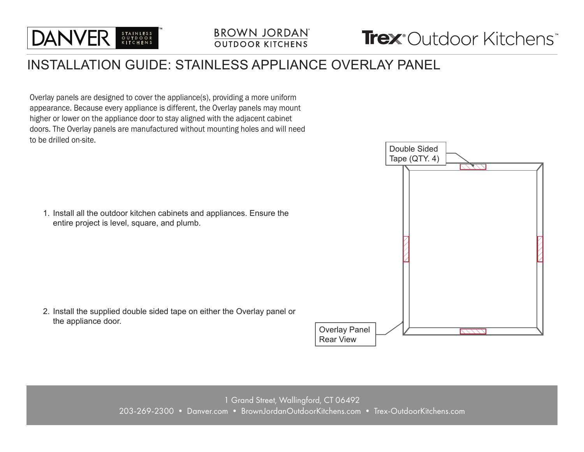

# **BROWN JORDAN**

## INSTALLATION GUIDE: STAINLESS APPLIANCE OVERLAY PANEL

Overlay panels are designed to cover the appliance(s), providing a more uniform appearance. Because every appliance is different, the Overlay panels may mount higher or lower on the appliance door to stay aligned with the adjacent cabinet doors. The Overlay panels are manufactured without mounting holes and will need to be drilled on-site.

1. Install all the outdoor kitchen cabinets and appliances. Ensure the entire project is level, square, and plumb.

2. Install the supplied double sided tape on either the Overlay panel or the appliance door.